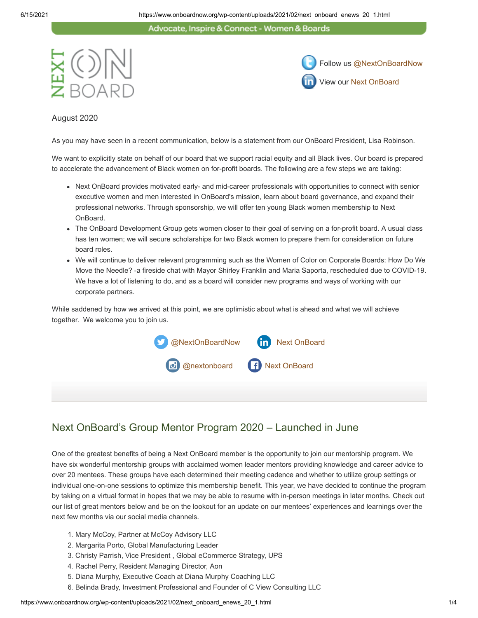#### Advocate, Inspire & Connect - Women & Boards





#### August 2020

As you may have seen in a recent communication, below is a statement from our OnBoard President, Lisa Robinson.

We want to explicitly state on behalf of our board that we support racial equity and all Black lives. Our board is prepared to accelerate the advancement of Black women on for-profit boards. The following are a few steps we are taking:

- Next OnBoard provides motivated early- and mid-career professionals with opportunities to connect with senior executive women and men interested in OnBoard's mission, learn about board governance, and expand their professional networks. Through sponsorship, we will offer ten young Black women membership to Next OnBoard.
- The OnBoard Development Group gets women closer to their goal of serving on a for-profit board. A usual class has ten women; we will secure scholarships for two Black women to prepare them for consideration on future board roles.
- We will continue to deliver relevant programming such as the Women of Color on Corporate Boards: How Do We Move the Needle? -a fireside chat with Mayor Shirley Franklin and Maria Saporta, rescheduled due to COVID-19. We have a lot of listening to do, and as a board will consider new programs and ways of working with our corporate partners.

While saddened by how we arrived at this point, we are optimistic about what is ahead and what we will achieve together. We welcome you to join us.



## Next OnBoard's Group Mentor Program 2020 – Launched in June

One of the greatest benefits of being a Next OnBoard member is the opportunity to join our mentorship program. We have six wonderful mentorship groups with acclaimed women leader mentors providing knowledge and career advice to over 20 mentees. These groups have each determined their meeting cadence and whether to utilize group settings or individual one-on-one sessions to optimize this membership benefit. This year, we have decided to continue the program by taking on a virtual format in hopes that we may be able to resume with in-person meetings in later months. Check out our list of great mentors below and be on the lookout for an update on our mentees' experiences and learnings over the next few months via our social media channels.

- 1. Mary McCoy, Partner at McCoy Advisory LLC
- 2. Margarita Porto, Global Manufacturing Leader
- 3. Christy Parrish, Vice President , Global eCommerce Strategy, UPS
- 4. Rachel Perry, Resident Managing Director, Aon
- 5. Diana Murphy, Executive Coach at Diana Murphy Coaching LLC
- 6. Belinda Brady, Investment Professional and Founder of C View Consulting LLC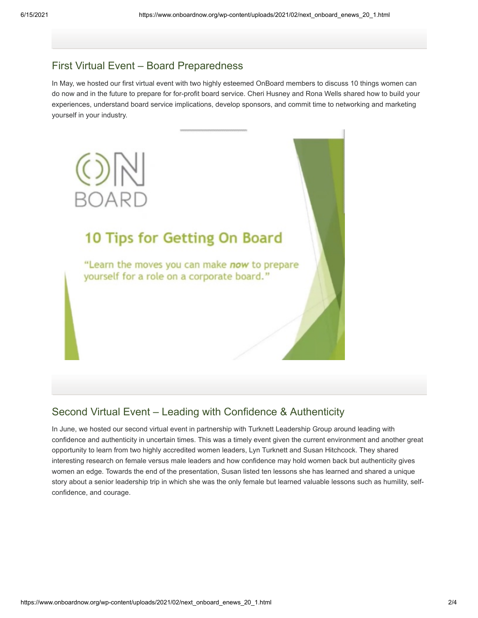#### First Virtual Event – Board Preparedness

In May, we hosted our first virtual event with two highly esteemed OnBoard members to discuss 10 things women can do now and in the future to prepare for for-profit board service. Cheri Husney and Rona Wells shared how to build your experiences, understand board service implications, develop sponsors, and commit time to networking and marketing yourself in your industry.



#### Second Virtual Event – Leading with Confidence & Authenticity

In June, we hosted our second virtual event in partnership with Turknett Leadership Group around leading with confidence and authenticity in uncertain times. This was a timely event given the current environment and another great opportunity to learn from two highly accredited women leaders, Lyn Turknett and Susan Hitchcock. They shared interesting research on female versus male leaders and how confidence may hold women back but authenticity gives women an edge. Towards the end of the presentation, Susan listed ten lessons she has learned and shared a unique story about a senior leadership trip in which she was the only female but learned valuable lessons such as humility, selfconfidence, and courage.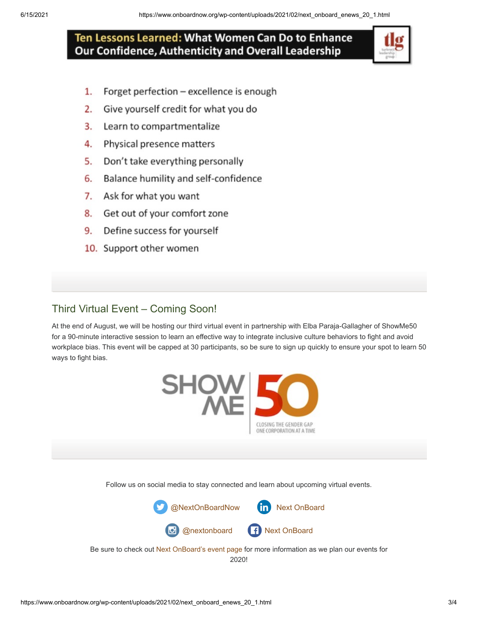## Ten Lessons Learned: What Women Can Do to Enhance Our Confidence, Authenticity and Overall Leadership

- $1.$ Forget perfection - excellence is enough
- $2.$ Give yourself credit for what you do
- $3.$ Learn to compartmentalize
- $\mathbf{4}$ Physical presence matters
- 5. Don't take everything personally
- 6. Balance humility and self-confidence
- 7. Ask for what you want
- 8. Get out of your comfort zone
- 9. Define success for yourself
- 10. Support other women

### Third Virtual Event – Coming Soon!

At the end of August, we will be hosting our third virtual event in partnership with Elba Paraja-Gallagher of ShowMe50 for a 90-minute interactive session to learn an effective way to integrate inclusive culture behaviors to fight and avoid workplace bias. This event will be capped at 30 participants, so be sure to sign up quickly to ensure your spot to learn 50 ways to fight bias.



Follow us on social media to stay connected and learn about upcoming virtual events.



Be sure to check out [Next OnBoard's event page](https://www.onboardnow.org/news-events/events/) for more information as we plan our events for 2020!